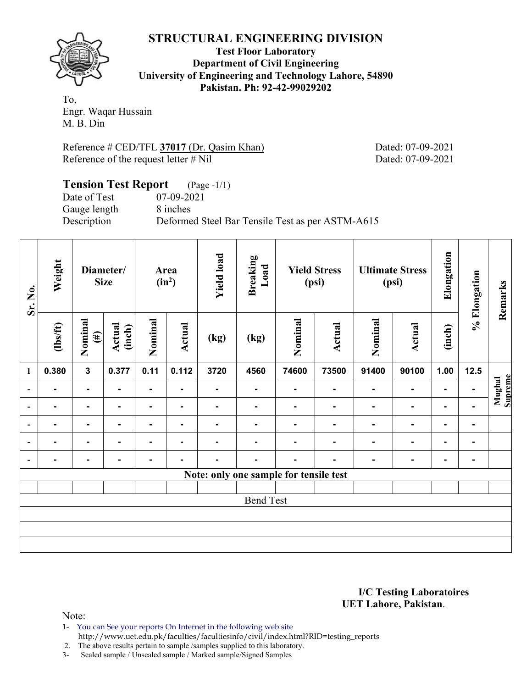## **STRUCTURAL ENGINEERING DIVISION**

**Test Floor Laboratory Department of Civil Engineering University of Engineering and Technology Lahore, 54890 Pakistan. Ph: 92-42-99029202** 

To, Engr. Waqar Hussain M. B. Din

Reference # CED/TFL **37017** (Dr. Qasim Khan) Dated: 07-09-2021 Reference of the request letter # Nil Dated: 07-09-2021

#### **Tension Test Report** (Page -1/1) Date of Test 07-09-2021 Gauge length 8 inches Description Deformed Steel Bar Tensile Test as per ASTM-A615

| Sr. No.                                | Weight         | Diameter/<br><b>Size</b> |                  | Area<br>$(in^2)$ |                | <b>Yield load</b> | <b>Breaking</b><br>Load | <b>Yield Stress</b><br>(psi) |        | <b>Ultimate Stress</b><br>(psi) |                | Elongation     | % Elongation   | Remarks           |
|----------------------------------------|----------------|--------------------------|------------------|------------------|----------------|-------------------|-------------------------|------------------------------|--------|---------------------------------|----------------|----------------|----------------|-------------------|
|                                        | $\frac{2}{10}$ | Nominal<br>$(\#)$        | Actual<br>(inch) | Nominal          | Actual         | (kg)              | (kg)                    | Nominal                      | Actual | Nominal                         | Actual         | (inch)         |                |                   |
| $\mathbf{1}$                           | 0.380          | $\mathbf{3}$             | 0.377            | 0.11             | 0.112          | 3720              | 4560                    | 74600                        | 73500  | 91400                           | 90100          | 1.00           | 12.5           |                   |
| $\overline{\phantom{0}}$               | $\blacksquare$ | $\blacksquare$           | $\blacksquare$   | $\blacksquare$   | $\blacksquare$ |                   | ٠.                      | $\blacksquare$               |        | $\blacksquare$                  | $\blacksquare$ |                | $\blacksquare$ | Mughal<br>Supreme |
| ۰                                      | $\blacksquare$ |                          |                  | $\blacksquare$   | $\blacksquare$ |                   |                         |                              |        |                                 | $\blacksquare$ | $\blacksquare$ | ۰              |                   |
| $\overline{\phantom{0}}$               | ٠              | $\blacksquare$           | $\blacksquare$   | $\blacksquare$   |                |                   |                         | -                            |        | $\blacksquare$                  | $\blacksquare$ | ٠              | $\blacksquare$ |                   |
| $\overline{\phantom{0}}$               |                | $\blacksquare$           |                  | $\blacksquare$   |                |                   |                         |                              |        | $\blacksquare$                  | $\blacksquare$ | $\blacksquare$ | $\blacksquare$ |                   |
| $\blacksquare$                         |                | $\overline{\phantom{a}}$ |                  |                  |                |                   | -                       | -                            |        |                                 | ٠              | $\blacksquare$ | $\blacksquare$ |                   |
| Note: only one sample for tensile test |                |                          |                  |                  |                |                   |                         |                              |        |                                 |                |                |                |                   |
|                                        |                |                          |                  |                  |                |                   |                         |                              |        |                                 |                |                |                |                   |
| <b>Bend Test</b>                       |                |                          |                  |                  |                |                   |                         |                              |        |                                 |                |                |                |                   |
|                                        |                |                          |                  |                  |                |                   |                         |                              |        |                                 |                |                |                |                   |
|                                        |                |                          |                  |                  |                |                   |                         |                              |        |                                 |                |                |                |                   |
|                                        |                |                          |                  |                  |                |                   |                         |                              |        |                                 |                |                |                |                   |

**I/C Testing Laboratoires UET Lahore, Pakistan**.

Note:

1- You can See your reports On Internet in the following web site http://www.uet.edu.pk/faculties/facultiesinfo/civil/index.html?RID=testing\_reports

2. The above results pertain to sample /samples supplied to this laboratory.

3- Sealed sample / Unsealed sample / Marked sample/Signed Samples